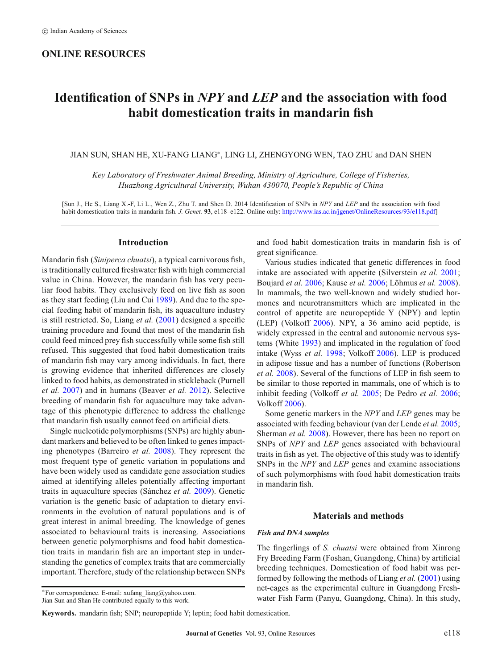## **ONLINE RESOURCES**

# **Identification of SNPs in** *NPY* **and** *LEP* **and the association with food habit domestication traits in mandarin fish**

JIAN SUN, SHAN HE, XU-FANG LIANG∗, LING LI, ZHENGYONG WEN, TAO ZHU and DAN SHEN

*Key Laboratory of Freshwater Animal Breeding, Ministry of Agriculture, College of Fisheries, Huazhong Agricultural University, Wuhan 430070, People's Republic of China*

[Sun J., He S., Liang X.-F, Li L., Wen Z., Zhu T. and Shen D. 2014 Identification of SNPs in *NPY* and *LEP* and the association with food habit domestication traits in mandarin fish. *J. Genet.* **93**, e118–e122. Online only: [http://www.ias.ac.in/jgenet/OnlineResources/93/e118.pdf\]](http://www.ias.ac.in/jgenet/OnlineResources/93/e118.pdf)

#### **Introduction**

Mandarin fish (*Siniperca chuatsi*), a typical carnivorous fish, is traditionally cultured freshwater fish with high commercial value in China. However, the mandarin fish has very peculiar food habits. They exclusively feed on live fish as soon as they start feeding (Liu and Cui [1989\)](#page-3-0). And due to the special feeding habit of mandarin fish, its aquaculture industry is still restricted. So, Liang *et al.* [\(2001\)](#page-3-1) designed a specific training procedure and found that most of the mandarin fish could feed minced prey fish successfully while some fish still refused. This suggested that food habit domestication traits of mandarin fish may vary among individuals. In fact, there is growing evidence that inherited differences are closely linked to food habits, as demonstrated in stickleback (Purnell *et al.* [2007\)](#page-3-2) and in humans (Beaver *et al.* [2012\)](#page-3-3). Selective breeding of mandarin fish for aquaculture may take advantage of this phenotypic difference to address the challenge that mandarin fish usually cannot feed on artificial diets.

Single nucleotide polymorphisms (SNPs) are highly abundant markers and believed to be often linked to genes impacting phenotypes (Barreiro *et al.* [2008\)](#page-3-4). They represent the most frequent type of genetic variation in populations and have been widely used as candidate gene association studies aimed at identifying alleles potentially affecting important traits in aquaculture species (Sánchez *et al.* [2009\)](#page-4-0). Genetic variation is the genetic basic of adaptation to dietary environments in the evolution of natural populations and is of great interest in animal breeding. The knowledge of genes associated to behavioural traits is increasing. Associations between genetic polymorphisms and food habit domestication traits in mandarin fish are an important step in understanding the genetics of complex traits that are commercially important. Therefore, study of the relationship between SNPs

∗For correspondence. E-mail: xufang\_liang@yahoo.com.

Jian Sun and Shan He contributed equally to this work.

**Keywords.** mandarin fish; SNP; neuropeptide Y; leptin; food habit domestication.

and food habit domestication traits in mandarin fish is of great significance.

Various studies indicated that genetic differences in food intake are associated with appetite (Silverstein *et al.* [2001;](#page-4-1) Boujard *et al.* [2006;](#page-3-5) Kause *et al.* [2006;](#page-3-6) Lõhmus *et al.* [2008\)](#page-3-7). In mammals, the two well-known and widely studied hormones and neurotransmitters which are implicated in the control of appetite are neuropeptide Y (NPY) and leptin (LEP) (Volkoff [2006\)](#page-4-2). NPY, a 36 amino acid peptide, is widely expressed in the central and autonomic nervous systems (White [1993\)](#page-4-3) and implicated in the regulation of food intake (Wyss *et al.* [1998;](#page-4-4) Volkoff [2006\)](#page-4-2). LEP is produced in adipose tissue and has a number of functions (Robertson *et al.* [2008\)](#page-4-5). Several of the functions of LEP in fish seem to be similar to those reported in mammals, one of which is to inhibit feeding (Volkoff *et al.* [2005;](#page-4-6) De Pedro *et al.* [2006;](#page-3-8) Volkoff [2006\)](#page-4-2).

Some genetic markers in the *NPY* and *LEP* genes may be associated with feeding behaviour (van der Lende *et al.* [2005;](#page-4-7) Sherman *et al.* [2008\)](#page-4-8). However, there has been no report on SNPs of *NPY* and *LEP* genes associated with behavioural traits in fish as yet. The objective of this study was to identify SNPs in the *NPY* and *LEP* genes and examine associations of such polymorphisms with food habit domestication traits in mandarin fish.

#### **Materials and methods**

#### *Fish and DNA samples*

The fingerlings of *S. chuatsi* were obtained from Xinrong Fry Breeding Farm (Foshan, Guangdong, China) by artificial breeding techniques. Domestication of food habit was performed by following the methods of Liang *et al.* [\(2001\)](#page-3-1) using net-cages as the experimental culture in Guangdong Freshwater Fish Farm (Panyu, Guangdong, China). In this study,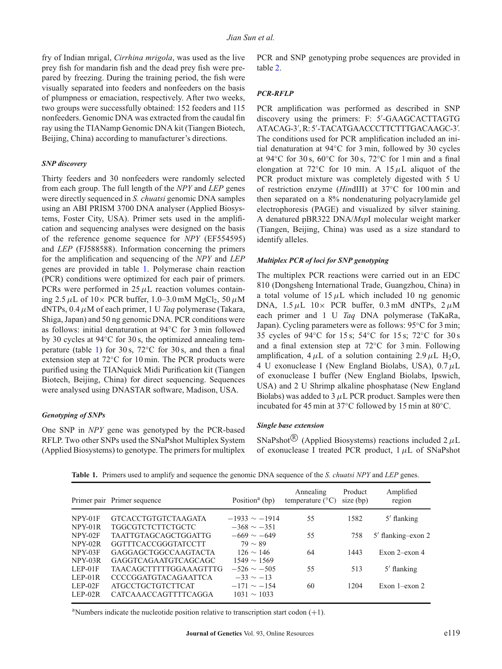fry of Indian mrigal, *Cirrhina mrigola*, was used as the live prey fish for mandarin fish and the dead prey fish were prepared by freezing. During the training period, the fish were visually separated into feeders and nonfeeders on the basis of plumpness or emaciation, respectively. After two weeks, two groups were successfully obtained: 152 feeders and 115 nonfeeders. Genomic DNA was extracted from the caudal fin ray using the TIANamp Genomic DNA kit (Tiangen Biotech, Beijing, China) according to manufacturer's directions.

### *SNP discovery*

Thirty feeders and 30 nonfeeders were randomly selected from each group. The full length of the *NPY* and *LEP* genes were directly sequenced in *S. chuatsi* genomic DNA samples using an ABI PRISM 3700 DNA analyser (Applied Biosystems, Foster City, USA). Primer sets used in the amplification and sequencing analyses were designed on the basis of the reference genome sequence for *NPY* (EF554595) and *LEP* (FJ588588). Information concerning the primers for the amplification and sequencing of the *NPY* and *LEP* genes are provided in table [1.](#page-1-0) Polymerase chain reaction (PCR) conditions were optimized for each pair of primers. PCRs were performed in  $25 \mu L$  reaction volumes containing 2.5  $\mu$ L of 10× PCR buffer, 1.0–3.0 mM MgCl<sub>2</sub>, 50  $\mu$ M dNTPs, 0.4μM of each primer, 1 U *Taq* polymerase (Takara, Shiga, Japan) and 50 ng genomic DNA. PCR conditions were as follows: initial denaturation at 94◦C for 3 min followed by 30 cycles at 94◦C for 30 s, the optimized annealing tem-perature (table [1\)](#page-1-0) for  $30 \text{ s}$ ,  $72^{\circ}$ C for  $30 \text{ s}$ , and then a final extension step at 72◦C for 10 min. The PCR products were purified using the TIANquick Midi Purification kit (Tiangen Biotech, Beijing, China) for direct sequencing. Sequences were analysed using DNASTAR software, Madison, USA.

## *Genotyping of SNPs*

One SNP in *NPY* gene was genotyped by the PCR-based RFLP. Two other SNPs used the SNaPshot Multiplex System (Applied Biosystems) to genotype. The primers for multiplex PCR and SNP genotyping probe sequences are provided in table [2.](#page-2-0)

## *PCR-RFLP*

PCR amplification was performed as described in SNP discovery using the primers: F: 5 -GAAGCACTTAGTG ATACAG-3', R: 5'-TACATGAACCCTTCTTTGACAAGC-3'. The conditions used for PCR amplification included an initial denaturation at 94◦C for 3 min, followed by 30 cycles at 94◦C for 30 s, 60◦C for 30 s, 72◦C for 1 min and a final elongation at 72°C for 10 min. A 15 $\mu$ L aliquot of the PCR product mixture was completely digested with 5 U of restriction enzyme (*Hin*dIII) at 37◦C for 100 min and then separated on a 8% nondenaturing polyacrylamide gel electrophoresis (PAGE) and visualized by silver staining. A denatured pBR322 DNA/*Msp*I molecular weight marker (Tiangen, Beijing, China) was used as a size standard to identify alleles.

#### *Multiplex PCR of loci for SNP genotyping*

The multiplex PCR reactions were carried out in an EDC 810 (Dongsheng International Trade, Guangzhou, China) in a total volume of  $15 \mu L$  which included 10 ng genomic DNA,  $1.5 \mu L$   $10 \times$  PCR buffer,  $0.3 \text{ mM}$  dNTPs,  $2 \mu M$ each primer and 1 U *Taq* DNA polymerase (TaKaRa, Japan). Cycling parameters were as follows: 95◦C for 3 min; 35 cycles of 94◦C for 15 s; 54◦C for 15 s; 72◦C for 30 s and a final extension step at 72◦C for 3 min. Following amplification,  $4 \mu L$  of a solution containing 2.9  $\mu L$  H<sub>2</sub>O, 4 U exonuclease I (New England Biolabs, USA),  $0.7 \mu L$ of exonuclease I buffer (New England Biolabs, Ipswich, USA) and 2 U Shrimp alkaline phosphatase (New England Biolabs) was added to  $3 \mu$ L PCR product. Samples were then incubated for 45 min at 37◦C followed by 15 min at 80◦C.

## *Single base extension*

SNaPshot<sup>®</sup> (Applied Biosystems) reactions included  $2 \mu L$ of exonuclease I treated PCR product,  $1 \mu L$  of SNaPshot

<span id="page-1-0"></span>**Table 1.** Primers used to amplify and sequence the genomic DNA sequence of the *S. chuatsi NPY* and *LEP* genes.

|           | Primer pair Primer sequence | Position <sup>a</sup> (bp) | Annealing<br>temperature $(^{\circ}C)$ | Product<br>size (bp) | Amplified<br>region |
|-----------|-----------------------------|----------------------------|----------------------------------------|----------------------|---------------------|
| NPY-01F   | <b>GTCACCTGTGTCTAAGATA</b>  | $-1933 \sim -1914$         | 55                                     | 1582                 | $5'$ flanking       |
| $NPY-01R$ | <b>TGGCGTCTCTTCTGCTC</b>    | $-368 \sim -351$           |                                        |                      |                     |
| NPY-02F   | <b>TAATTGTAGCAGCTGGATTG</b> | $-669 \sim -649$           | 55                                     | 758                  | 5' flanking-exon 2  |
| NPY-02R   | GGTTTCACCGGGTATCCTT         | $79 \sim 89$               |                                        |                      |                     |
| NPY-03F   | GAGGAGCTGGCCAAGTACTA        | $126 \sim 146$             | 64                                     | 1443                 | Exon $2$ -exon $4$  |
| NPY-03R   | GAGGTCAGAATGTCAGCAGC        | $1549 \sim 1569$           |                                        |                      |                     |
| $LEP-01F$ | TAACAGCTTTTTGGAAAGTTTG      | $-526 \sim -505$           | 55                                     | 513                  | $5'$ flanking       |
| $LEP-01R$ | <b>CCCCGGATGTACAGAATTCA</b> | $-33 \sim -13$             |                                        |                      |                     |
| $LEP-02F$ | <b>ATGCCTGCTGTCTTCAT</b>    | $-171 \sim -154$           | 60                                     | 1204                 | Exon $1$ –exon 2.   |
| $LEP-02R$ | CATCAAACCAGTTTTCAGGA        | $1031 \sim 1033$           |                                        |                      |                     |

<sup>a</sup>Numbers indicate the nucleotide position relative to transcription start codon  $(+1)$ .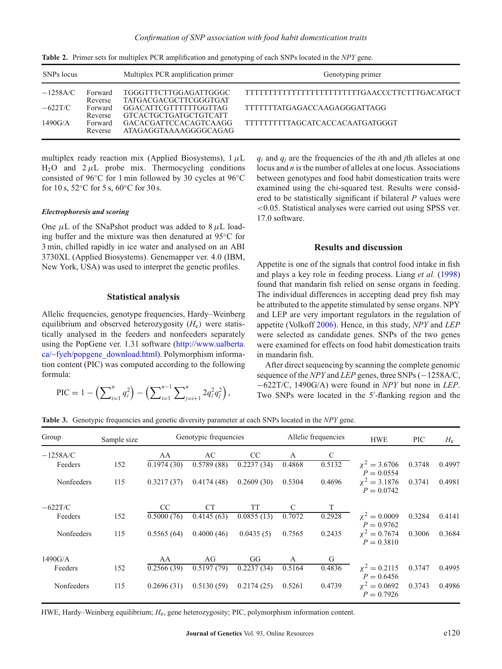| SNPs locus        |                               | Multiplex PCR amplification primer                                             | Genotyping primer                            |
|-------------------|-------------------------------|--------------------------------------------------------------------------------|----------------------------------------------|
| $-1258A/C$        | Forward                       | TGGGTTTCTTGGAGATTGGGC                                                          | TTTTTTTTTTTTTTTTTTTTTTTTGAACCCTTCTTTGACATGCT |
| $-622T/C$         | Reverse<br>Forward<br>Reverse | TATGACGACGCTTCGGGTGAT<br>GGACATTCGTTTTTTGGTTAG<br><b>GTCACTGCTGATGCTGTCATT</b> | TTTTTTTATGAGACCAAGAGGGATTAGG                 |
| $1490 \text{G/A}$ | Forward<br>Reverse            | GACACGATTCCACAGTCAAGG<br>ATAGAGGTAAAAGGGGCAGAG                                 | TTTTTTTTTAGCATCACCACAATGATGGGT               |

<span id="page-2-0"></span>**Table 2.** Primer sets for multiplex PCR amplification and genotyping of each SNPs located in the *NPY* gene.

multiplex ready reaction mix (Applied Biosystems),  $1 \mu L$  $H<sub>2</sub>O$  and  $2 \mu L$  probe mix. Thermocycling conditions consisted of 96◦C for 1 min followed by 30 cycles at 96◦C for 10 s, 52◦C for 5 s, 60◦C for 30 s.

#### *Electrophoresis and scoring*

One  $\mu$ L of the SNaPshot product was added to 8  $\mu$ L loading buffer and the mixture was then denatured at 95◦C for 3 min, chilled rapidly in ice water and analysed on an ABI 3730XL (Applied Biosystems). Genemapper ver. 4.0 (IBM, New York, USA) was used to interpret the genetic profiles.

#### **Statistical analysis**

Allelic frequencies, genotype frequencies, Hardy–Weinberg equilibrium and observed heterozygosity  $(H_e)$  were statistically analysed in the feeders and nonfeeders separately using the PopGene ver. 1.31 software [\(http://www.ualberta.](http://www.ualberta.ca/~fyeh/popgene_download.html) [ca/~fyeh/popgene\\_download.html\)](http://www.ualberta.ca/~fyeh/popgene_download.html). Polymorphism information content (PIC) was computed according to the following formula:

$$
\text{PIC} = 1 - \left(\sum_{i=1}^{n} q_i^2\right) - \left(\sum_{i=1}^{n-1} \sum_{j=i+1}^{n} 2q_i^2 q_j^2\right),
$$

*qi* and *qj* are the frequencies of the *i*th and *j*th alleles at one locus and *n* is the number of alleles at one locus. Associations between genotypes and food habit domestication traits were examined using the chi-squared test. Results were considered to be statistically significant if bilateral *P* values were <0.05. Statistical analyses were carried out using SPSS ver. 17.0 software.

#### **Results and discussion**

Appetite is one of the signals that control food intake in fish and plays a key role in feeding process. Liang *et al.* [\(1998\)](#page-3-9) found that mandarin fish relied on sense organs in feeding. The individual differences in accepting dead prey fish may be attributed to the appetite stimulated by sense organs. NPY and LEP are very important regulators in the regulation of appetite (Volkoff [2006\)](#page-4-2). Hence, in this study, *NPY* and *LEP* were selected as candidate genes. SNPs of the two genes were examined for effects on food habit domestication traits in mandarin fish.

After direct sequencing by scanning the complete genomic sequence of the *NPY* and *LEP* genes, three SNPs (−1258A/C, −622T/C, 1490G/A) were found in *NPY* but none in *LEP*. Two SNPs were located in the 5'-flanking region and the

<span id="page-2-1"></span>**Table 3.** Genotypic frequencies and genetic diversity parameter at each SNPs located in the *NPY* gene.

| Group             | Sample size | Genotypic frequencies |            |            | Allelic frequencies |               | <b>HWE</b>                        | PIC.   | $H_{\rm e}$ |
|-------------------|-------------|-----------------------|------------|------------|---------------------|---------------|-----------------------------------|--------|-------------|
| $-1258$ A/C       |             | AA                    | AC         | CC         | A                   | $\mathcal{C}$ |                                   |        |             |
| Feeders           | 152         | 0.1974(30)            | 0.5789(88) | 0.2237(34) | 0.4868              | 0.5132        | $\chi^2 = 3.6706$<br>$P = 0.0554$ | 0.3748 | 0.4997      |
| Nonfeeders        | 115         | 0.3217(37)            | 0.4174(48) | 0.2609(30) | 0.5304              | 0.4696        | $\chi^2 = 3.1876$<br>$P = 0.0742$ | 0.3741 | 0.4981      |
| $-622T/C$         |             | CC                    | <b>CT</b>  | <b>TT</b>  | $\mathcal{C}$       | T             |                                   |        |             |
| Feeders           | 152         | 0.5000(76)            | 0.4145(63) | 0.0855(13) | 0.7072              | 0.2928        | $\chi^2 = 0.0009$<br>$P = 0.9762$ | 0.3284 | 0.4141      |
| Nonfeeders        | 115         | 0.5565(64)            | 0.4000(46) | 0.0435(5)  | 0.7565              | 0.2435        | $\chi^2 = 0.7674$<br>$P = 0.3810$ | 0.3006 | 0.3684      |
| $1490 \text{G/A}$ |             | AA                    | AG         | GG         | $\mathsf{A}$        | G             |                                   |        |             |
| Feeders           | 152         | 0.2566(39)            | 0.5197(79) | 0.2237(34) | 0.5164              | 0.4836        | $\chi^2 = 0.2115$<br>$P = 0.6456$ | 0.3747 | 0.4995      |
| Nonfeeders        | 115         | 0.2696(31)            | 0.5130(59) | 0.2174(25) | 0.5261              | 0.4739        | $\chi^2 = 0.0692$<br>$P = 0.7926$ | 0.3743 | 0.4986      |

HWE, Hardy–Weinberg equilibrium; *H*e, gene heterozygosity; PIC, polymorphism information content.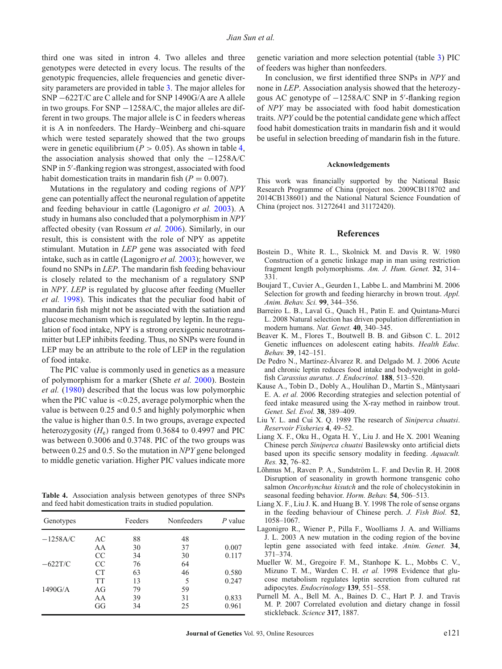third one was sited in intron 4. Two alleles and three genotypes were detected in every locus. The results of the genotypic frequencies, allele frequencies and genetic diversity parameters are provided in table [3.](#page-2-1) The major alleles for SNP −622T/C are C allele and for SNP 1490G/A are A allele in two groups. For SNP −1258A/C, the major alleles are different in two groups. The major allele is C in feeders whereas it is A in nonfeeders. The Hardy–Weinberg and chi-square which were tested separately showed that the two groups were in genetic equilibrium ( $P > 0.05$ ). As shown in table [4,](#page-3-10) the association analysis showed that only the −1258A/C SNP in 5 -flanking region was strongest, associated with food habit domestication traits in mandarin fish  $(P = 0.007)$ .

Mutations in the regulatory and coding regions of *NPY* gene can potentially affect the neuronal regulation of appetite and feeding behaviour in cattle (Lagonigro *et al.* [2003\)](#page-3-11). A study in humans also concluded that a polymorphism in *NPY* affected obesity (van Rossum *et al.* [2006\)](#page-4-9). Similarly, in our result, this is consistent with the role of NPY as appetite stimulant. Mutation in *LEP* gene was associated with feed intake, such as in cattle (Lagonigro *et al.* [2003\)](#page-3-11); however, we found no SNPs in *LEP*. The mandarin fish feeding behaviour is closely related to the mechanism of a regulatory SNP in *NPY*. *LEP* is regulated by glucose after feeding (Mueller *et al.* [1998\)](#page-3-12). This indicates that the peculiar food habit of mandarin fish might not be associated with the satiation and glucose mechanism which is regulated by leptin. In the regulation of food intake, NPY is a strong orexigenic neurotransmitter but LEP inhibits feeding. Thus, no SNPs were found in LEP may be an attribute to the role of LEP in the regulation of food intake.

The PIC value is commonly used in genetics as a measure of polymorphism for a marker (Shete *et al.* [2000\)](#page-4-10). Bostein *et al.* [\(1980\)](#page-3-13) described that the locus was low polymorphic when the PIC value is  $\langle 0.25$ , average polymorphic when the value is between 0.25 and 0.5 and highly polymorphic when the value is higher than 0.5. In two groups, average expected heterozygosity  $(H_e)$  ranged from 0.3684 to 0.4997 and PIC was between 0.3006 and 0.3748. PIC of the two groups was between 0.25 and 0.5. So the mutation in *NPY* gene belonged to middle genetic variation. Higher PIC values indicate more

<span id="page-3-10"></span>**Table 4.** Association analysis between genotypes of three SNPs and feed habit domestication traits in studied population.

| Genotypes   |    | Feeders | Nonfeeders | P value |
|-------------|----|---------|------------|---------|
| $-1258$ A/C | AC | 88      | 48         |         |
|             | AA | 30      | 37         | 0.007   |
|             | CC | 34      | 30         | 0.117   |
| $-622T/C$   | CC | 76      | 64         |         |
|             | CT | 63      | 46         | 0.580   |
|             | TT | 13      | 5          | 0.247   |
| 1490G/A     | AG | 79      | 59         |         |
|             | AA | 39      | 31         | 0.833   |
|             | GG | 34      | 25         | 0.961   |

genetic variation and more selection potential (table [3\)](#page-2-1) PIC of feeders was higher than nonfeeders.

In conclusion, we first identified three SNPs in *NPY* and none in *LEP*. Association analysis showed that the heterozygous AC genotype of −1258A/C SNP in 5 -flanking region of *NPY* may be associated with food habit domestication traits. *NPY* could be the potential candidate gene which affect food habit domestication traits in mandarin fish and it would be useful in selection breeding of mandarin fish in the future.

#### **Acknowledgements**

This work was financially supported by the National Basic Research Programme of China (project nos. 2009CB118702 and 2014CB138601) and the National Natural Science Foundation of China (project nos. 31272641 and 31172420).

#### **References**

- <span id="page-3-13"></span>Bostein D., White R. L., Skolnick M. and Davis R. W. 1980 Construction of a genetic linkage map in man using restriction fragment length polymorphisms. *Am. J. Hum. Genet.* **32**, 314– 331.
- <span id="page-3-5"></span>Boujard T., Cuvier A., Geurden I., Labbe L. and Mambrini M. 2006 Selection for growth and feeding hierarchy in brown trout. *Appl. Anim. Behav. Sci.* **99**, 344–356.
- <span id="page-3-4"></span>Barreiro L. B., Laval G., Quach H., Patin E. and Quintana-Murci L. 2008 Natural selection has driven population differentiation in modern humans. *Nat. Genet.* **40**, 340–345.
- <span id="page-3-3"></span>Beaver K. M., Flores T., Boutwell B. B. and Gibson C. L. 2012 Genetic influences on adolescent eating habits. *Health Educ. Behav.* **39**, 142–151.
- <span id="page-3-8"></span>De Pedro N., Martínez-Álvarez R. and Delgado M. J. 2006 Acute and chronic leptin reduces food intake and bodyweight in goldfish *Carassius auratus*. *J. Endocrinol.* **188**, 513–520.
- <span id="page-3-6"></span>Kause A., Tobin D., Dobly A., Houlihan D., Martin S., Mäntysaari E. A. *et al.* 2006 Recording strategies and selection potential of feed intake measured using the X-ray method in rainbow trout. *Genet. Sel. Evol.* **38**, 389–409.
- <span id="page-3-0"></span>Liu Y. L. and Cui X. Q. 1989 The research of *Siniperca chuatsi*. *Reservoir Fisheries* **4**, 49–52.
- <span id="page-3-1"></span>Liang X. F., Oku H., Ogata H. Y., Liu J. and He X. 2001 Weaning Chinese perch *Siniperca chuatsi* Basilewsky onto artificial diets based upon its specific sensory modality in feeding. *Aquacult. Res.* **32**, 76–82.
- <span id="page-3-7"></span>Lõhmus M., Raven P. A., Sundström L. F. and Devlin R. H. 2008 Disruption of seasonality in growth hormone transgenic coho salmon *Oncorhynchus kisutch* and the role of cholecystokinin in seasonal feeding behavior. *Horm. Behav.* **54**, 506–513.
- <span id="page-3-9"></span>Liang X. F., Liu J. K. and Huang B. Y. 1998 The role of sense organs in the feeding behaviour of Chinese perch. *J. Fish Biol.* **52**, 1058–1067.
- <span id="page-3-11"></span>Lagonigro R., Wiener P., Pilla F., Woolliams J. A. and Williams J. L. 2003 A new mutation in the coding region of the bovine leptin gene associated with feed intake. *Anim. Genet.* **34**, 371–374.
- <span id="page-3-12"></span>Mueller W. M., Gregoire F. M., Stanhope K. L., Mobbs C. V., Mizuno T. M., Warden C. H. *et al.* 1998 Evidence that glucose metabolism regulates leptin secretion from cultured rat adipocytes. *Endocrinology* **139**, 551–558.
- <span id="page-3-2"></span>Purnell M. A., Bell M. A., Baines D. C., Hart P. J. and Travis M. P. 2007 Correlated evolution and dietary change in fossil stickleback. *Science* **317**, 1887.